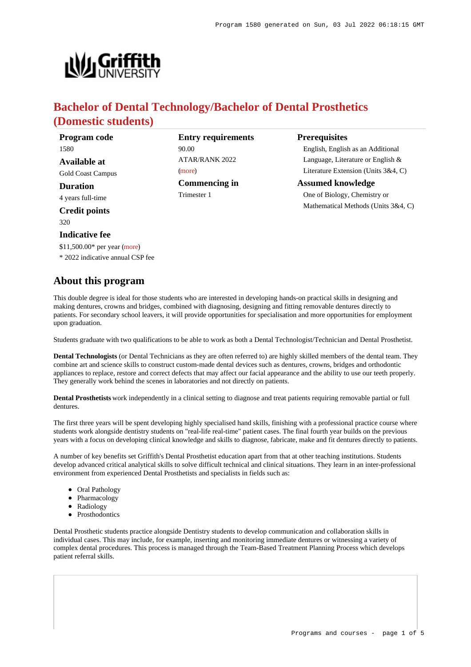**Prerequisites**

English, English as an Additional Language, Literature or English & Literature Extension (Units 3&4, C)

Mathematical Methods (Units 3&4, C)

**Assumed knowledge** One of Biology, Chemistry or



# **Bachelor of Dental Technology/Bachelor of Dental Prosthetics (Domestic students)**

**Entry requirements**

ATAR/RANK 2022

**Commencing in**

90.00

[\(more](https://www148.griffith.edu.au/programs-courses/Program/1580/HowToApply/Domestic#tac-entry-requirements))

Trimester 1

| Program code             |  |  |  |  |
|--------------------------|--|--|--|--|
| 1580                     |  |  |  |  |
| Available at             |  |  |  |  |
| <b>Gold Coast Campus</b> |  |  |  |  |
| <b>Duration</b>          |  |  |  |  |
| 4 years full-time        |  |  |  |  |
| <b>Credit points</b>     |  |  |  |  |

320

#### **Indicative fee**

\$11,500.00\* per year [\(more](https://www148.griffith.edu.au/programs-courses/Program/1580/Overview/Domestic#fees))

\* 2022 indicative annual CSP fee

## **About this program**

This double degree is ideal for those students who are interested in deve making dentures, crowns and bridges, combined with diagnosing, designing and fitting removals and fitting removals directly to removals and fitting removals dentures dentures dentures dentures dentures dentures dentures de patients. For secondary school leavers, it will provide opportunities for upon graduation.

Students graduate with two qualifications to be able to work as both a Dental Technologist/Technician and Dental Prosthetist.

**Dental Technologists** (or Dental Technicians as they are often referred to) are highly skilled members of the dental team. They combine art and science skills to construct custom-made dental devices such as dentures, crowns, bridges and orthodontic appliances to replace, restore and correct defects that may affect our facial appearance and the ability to use our teeth properly. They generally work behind the scenes in laboratories and not directly on patients.

**Dental Prosthetists** work independently in a clinical setting to diagnose and treat patients requiring removable partial or full dentures.

The first three years will be spent developing highly specialised hand skills, finishing with a professional practice course where students work alongside dentistry students on "real-life real-time" patient cases. The final fourth year builds on the previous years with a focus on developing clinical knowledge and skills to diagnose, fabricate, make and fit dentures directly to patients.

A number of key benefits set Griffith's Dental Prosthetist education apart from that at other teaching institutions. Students develop advanced critical analytical skills to solve difficult technical and clinical situations. They learn in an inter-professional environment from experienced Dental Prosthetists and specialists in fields such as:

- Oral Pathology
- Pharmacology
- Radiology
- Prosthodontics

Dental Prosthetic students practice alongside Dentistry students to develop communication and collaboration skills in individual cases. This may include, for example, inserting and monitoring immediate dentures or witnessing a variety of complex dental procedures. This process is managed through the Team-Based Treatment Planning Process which develops patient referral skills.

| loping hands-on practical skills in designing and    |
|------------------------------------------------------|
| ning and fitting removable dentures directly to      |
| specialisation and more opportunities for employment |
|                                                      |
|                                                      |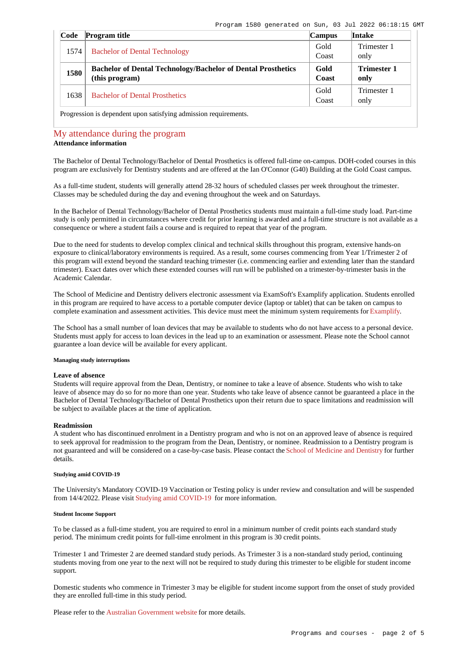| Code                                                             | <b>Program title</b>                                                | <b>Campus</b> | Intake             |  |
|------------------------------------------------------------------|---------------------------------------------------------------------|---------------|--------------------|--|
| 1574                                                             | <b>Bachelor of Dental Technology</b>                                | Gold          | Trimester 1        |  |
|                                                                  |                                                                     | Coast         | only               |  |
| 1580                                                             | <b>Bachelor of Dental Technology/Bachelor of Dental Prosthetics</b> | Gold          | <b>Trimester 1</b> |  |
|                                                                  | (this program)                                                      | Coast         | only               |  |
| 1638                                                             | <b>Bachelor of Dental Prosthetics</b>                               | Gold          | Trimester 1        |  |
|                                                                  |                                                                     | Coast         | only               |  |
| Progression is dependent upon satisfying admission requirements. |                                                                     |               |                    |  |

## [My attendance during the program](https://www148.griffith.edu.au/programs-courses/Program/1580/Overview/Domestic#attendance)

## **Attendance information**

The Bachelor of Dental Technology/Bachelor of Dental Prosthetics is offered full-time on-campus. DOH-coded courses in this program are exclusively for Dentistry students and are offered at the Ian O'Connor (G40) Building at the Gold Coast campus.

As a full-time student, students will generally attend 28-32 hours of scheduled classes per week throughout the trimester. Classes may be scheduled during the day and evening throughout the week and on Saturdays.

In the Bachelor of Dental Technology/Bachelor of Dental Prosthetics students must maintain a full-time study load. Part-time study is only permitted in circumstances where credit for prior learning is awarded and a full-time structure is not available as a consequence or where a student fails a course and is required to repeat that year of the program.

Due to the need for students to develop complex clinical and technical skills throughout this program, extensive hands-on exposure to clinical/laboratory environments is required. As a result, some courses commencing from Year 1/Trimester 2 of this program will extend beyond the standard teaching trimester (i.e. commencing earlier and extending later than the standard trimester). Exact dates over which these extended courses will run will be published on a trimester-by-trimester basis in the Academic Calendar.

The School of Medicine and Dentistry delivers electronic assessment via ExamSoft's Examplify application. Students enrolled in this program are required to have access to a portable computer device (laptop or tablet) that can be taken on campus to complete examination and assessment activities. This device must meet the minimum system requirements for [Examplify](https://examsoft.com/resources/examplify-minimum-system-requirements/).

The School has a small number of loan devices that may be available to students who do not have access to a personal device. Students must apply for access to loan devices in the lead up to an examination or assessment. Please note the School cannot guarantee a loan device will be available for every applicant.

#### **Managing study interruptions**

#### **Leave of absence**

Students will require approval from the Dean, Dentistry, or nominee to take a leave of absence. Students who wish to take leave of absence may do so for no more than one year. Students who take leave of absence cannot be guaranteed a place in the Bachelor of Dental Technology/Bachelor of Dental Prosthetics upon their return due to space limitations and readmission will be subject to available places at the time of application.

#### **Readmission**

A student who has discontinued enrolment in a Dentistry program and who is not on an approved leave of absence is required to seek approval for readmission to the program from the Dean, Dentistry, or nominee. Readmission to a Dentistry program is not guaranteed and will be considered on a case-by-case basis. Please contact the [School of Medicine and Dentistry](https://www.griffith.edu.au/griffith-health/school-medicine-dentistry) for further details.

## **Studying amid COVID-19**

The University's Mandatory COVID-19 Vaccination or Testing policy is under review and consultation and will be suspended from 14/4/2022. Please visit [Studying amid COVID-19](https://www.griffith.edu.au/coronavirus/studying-amid-covid-19) for more information.

#### **Student Income Support**

To be classed as a full-time student, you are required to enrol in a minimum number of credit points each standard study period. The minimum credit points for full-time enrolment in this program is 30 credit points.

Trimester 1 and Trimester 2 are deemed standard study periods. As Trimester 3 is a non-standard study period, continuing students moving from one year to the next will not be required to study during this trimester to be eligible for student income support.

Domestic students who commence in Trimester 3 may be eligible for student income support from the onset of study provided they are enrolled full-time in this study period.

Please refer to the [Australian Government website](https://www.humanservices.gov.au/customer/dhs/centrelink) for more details.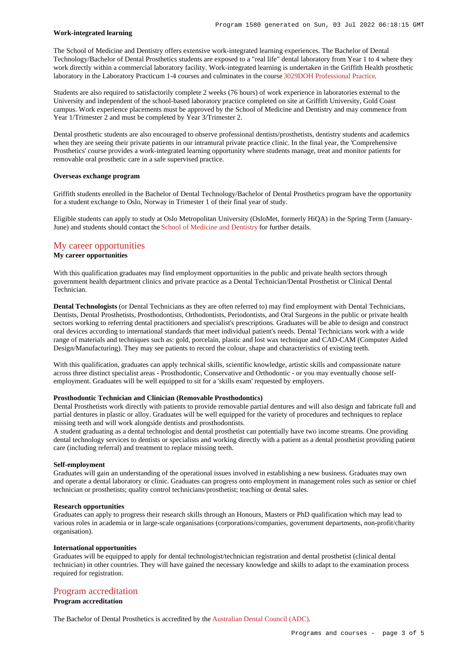#### **Work-integrated learning**

The School of Medicine and Dentistry offers extensive work-integrated learning experiences. The Bachelor of Dental Technology/Bachelor of Dental Prosthetics students are exposed to a "real life" dental laboratory from Year 1 to 4 where they work directly within a commercial laboratory facility. Work-integrated learning is undertaken in the Griffith Health prosthetic laboratory in the Laboratory Practicum 1-4 courses and culminates in the course [3029DOH Professional Practice](https://www148.griffith.edu.au/Course/3029DOH).

Students are also required to satisfactorily complete 2 weeks (76 hours) of work experience in laboratories external to the University and independent of the school-based laboratory practice completed on site at Griffith University, Gold Coast campus. Work experience placements must be approved by the School of Medicine and Dentistry and may commence from Year 1/Trimester 2 and must be completed by Year 3/Trimester 2.

Dental prosthetic students are also encouraged to observe professional dentists/prosthetists, dentistry students and academics when they are seeing their private patients in our intramural private practice clinic. In the final year, the 'Comprehensive Prosthetics' course provides a work-integrated learning opportunity where students manage, treat and monitor patients for removable oral prosthetic care in a safe supervised practice.

#### **Overseas exchange program**

Griffith students enrolled in the Bachelor of Dental Technology/Bachelor of Dental Prosthetics program have the opportunity for a student exchange to Oslo, Norway in Trimester 1 of their final year of study.

Eligible students can apply to study at Oslo Metropolitan University (OsloMet, formerly HiQA) in the Spring Term (January-June) and students should contact the [School of Medicine and Dentistry](https://www.griffith.edu.au/griffith-health/school-medicine-dentistry) for further details.

## [My career opportunities](https://www148.griffith.edu.au/programs-courses/Program/1580/Overview/Domestic#opportunities)

## **My career opportunities**

With this qualification graduates may find employment opportunities in the public and private health sectors through government health department clinics and private practice as a Dental Technician/Dental Prosthetist or Clinical Dental Technician.

**Dental Technologists** (or Dental Technicians as they are often referred to) may find employment with Dental Technicians, Dentists, Dental Prosthetists, Prosthodontists, Orthodontists, Periodontists, and Oral Surgeons in the public or private health sectors working to referring dental practitioners and specialist's prescriptions. Graduates will be able to design and construct oral devices according to international standards that meet individual patient's needs. Dental Technicians work with a wide range of materials and techniques such as: gold, porcelain, plastic and lost wax technique and CAD-CAM (Computer Aided Design/Manufacturing). They may see patients to record the colour, shape and characteristics of existing teeth.

With this qualification, graduates can apply technical skills, scientific knowledge, artistic skills and compassionate nature across three distinct specialist areas - Prosthodontic, Conservative and Orthodontic - or you may eventually choose selfemployment. Graduates will be well equipped to sit for a 'skills exam' requested by employers.

#### **Prosthodontic Technician and Clinician (Removable Prosthodontics)**

Dental Prosthetists work directly with patients to provide removable partial dentures and will also design and fabricate full and partial dentures in plastic or alloy. Graduates will be well equipped for the variety of procedures and techniques to replace missing teeth and will work alongside dentists and prosthodontists.

A student graduating as a dental technologist and dental prosthetist can potentially have two income streams. One providing dental technology services to dentists or specialists and working directly with a patient as a dental prosthetist providing patient care (including referral) and treatment to replace missing teeth.

## **Self-employment**

Graduates will gain an understanding of the operational issues involved in establishing a new business. Graduates may own and operate a dental laboratory or clinic. Graduates can progress onto employment in management roles such as senior or chief technician or prosthetists; quality control technicians/prosthetist; teaching or dental sales.

#### **Research opportunities**

Graduates can apply to progress their research skills through an Honours, Masters or PhD qualification which may lead to various roles in academia or in large-scale organisations (corporations/companies, government departments, non-profit/charity organisation).

#### **International opportunities**

Graduates will be equipped to apply for dental technologist/technician registration and dental prosthetist (clinical dental technician) in other countries. They will have gained the necessary knowledge and skills to adapt to the examination process required for registration.

## [Program accreditation](https://www148.griffith.edu.au/programs-courses/Program/1580/Overview/Domestic#accreditation)

**Program accreditation**

The Bachelor of Dental Prosthetics is accredited by the [Australian Dental Council \(ADC\)](https://www.adc.org.au/).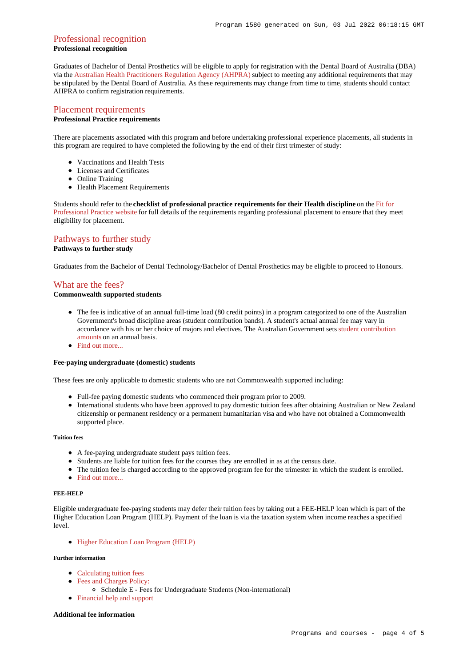## [Professional recognition](https://www148.griffith.edu.au/programs-courses/Program/1580/Overview/Domestic#recognition)

## **Professional recognition**

Graduates of Bachelor of Dental Prosthetics will be eligible to apply for registration with the Dental Board of Australia (DBA) via the [Australian Health Practitioners Regulation Agency \(AHPRA\)](https://www.ahpra.gov.au/) subject to meeting any additional requirements that may be stipulated by the Dental Board of Australia. As these requirements may change from time to time, students should contact AHPRA to confirm registration requirements.

## [Placement requirements](https://www148.griffith.edu.au/programs-courses/Program/1580/Overview/Domestic#placement)

## **Professional Practice requirements**

There are placements associated with this program and before undertaking professional experience placements, all students in this program are required to have completed the following by the end of their first trimester of study:

- Vaccinations and Health Tests
- Licenses and Certificates
- Online Training
- Health Placement Requirements

Students should refer to the **checklist of professional practice requirements for their Health discipline** on the [Fit for](https://www.griffith.edu.au/griffith-health/fit-for-professional-practice) [Professional Practice website](https://www.griffith.edu.au/griffith-health/fit-for-professional-practice) for full details of the requirements regarding professional placement to ensure that they meet eligibility for placement.

## [Pathways to further study](https://www148.griffith.edu.au/programs-courses/Program/1580/Overview/Domestic#pathways)

## **Pathways to further study**

Graduates from the Bachelor of Dental Technology/Bachelor of Dental Prosthetics may be eligible to proceed to Honours.

## [What are the fees?](https://www148.griffith.edu.au/programs-courses/Program/1580/Overview/Domestic#fees)

## **Commonwealth supported students**

- The fee is indicative of an annual full-time load (80 credit points) in a program categorized to one of the Australian Government's broad discipline areas (student contribution bands). A student's actual annual fee may vary in accordance with his or her choice of majors and electives. The Australian Government sets [student contribution](http://studyassist.gov.au/sites/studyassist/helppayingmyfees/csps/pages/student-contribution-amounts) [amounts](http://studyassist.gov.au/sites/studyassist/helppayingmyfees/csps/pages/student-contribution-amounts) on an annual basis.
- Find out more...

### **Fee-paying undergraduate (domestic) students**

These fees are only applicable to domestic students who are not Commonwealth supported including:

- Full-fee paying domestic students who commenced their program prior to 2009.
- International students who have been approved to pay domestic tuition fees after obtaining Australian or New Zealand citizenship or permanent residency or a permanent humanitarian visa and who have not obtained a Commonwealth supported place.

#### **Tuition fees**

- A fee-paying undergraduate student pays tuition fees.
- Students are liable for tuition fees for the courses they are enrolled in as at the census date.
- The tuition fee is charged according to the approved program fee for the trimester in which the student is enrolled.
- [Find out more...](https://www148.griffith.edu.au/programs-courses/Program/1580/Overview/Domestic#whatAreTheFees)

#### **FEE-HELP**

Eligible undergraduate fee-paying students may defer their tuition fees by taking out a FEE-HELP loan which is part of the Higher Education Loan Program (HELP). Payment of the loan is via the taxation system when income reaches a specified level.

[Higher Education Loan Program \(HELP\)](http://www.griffith.edu.au/fees-charges/help-loans)

## **Further information**

- [Calculating tuition fees](https://www.griffith.edu.au/fees-charges/domestic-students/calculating-tuition-fees)
- [Fees and Charges Policy:](http://policies.griffith.edu.au/pdf/Fees and Charges Policy.pdf)
	- Schedule E Fees for Undergraduate Students (Non-international)
- [Financial help and support](https://www.griffith.edu.au/welfare)

#### **Additional fee information**